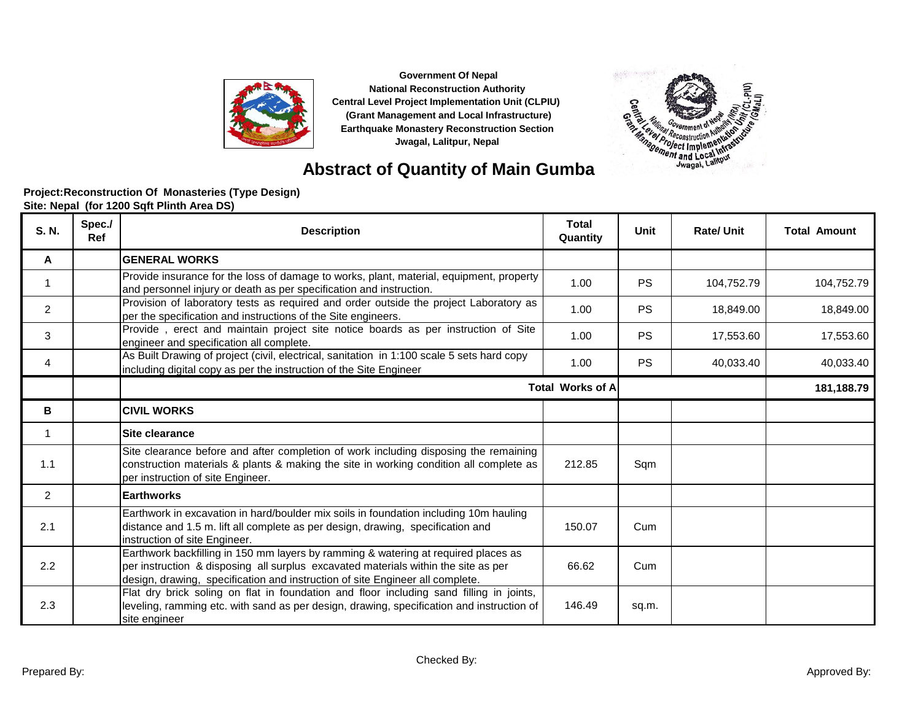



### **Abstract of Quantity of Main Gumba**

| S. N.        | Spec./<br><b>Ref</b> | <b>Description</b>                                                                                                                                                                                                                                        | <b>Total</b><br>Quantity | Unit      | <b>Rate/Unit</b> | <b>Total Amount</b> |
|--------------|----------------------|-----------------------------------------------------------------------------------------------------------------------------------------------------------------------------------------------------------------------------------------------------------|--------------------------|-----------|------------------|---------------------|
| A            |                      | <b>GENERAL WORKS</b>                                                                                                                                                                                                                                      |                          |           |                  |                     |
| 1            |                      | Provide insurance for the loss of damage to works, plant, material, equipment, property<br>and personnel injury or death as per specification and instruction.                                                                                            | 1.00                     | <b>PS</b> | 104,752.79       | 104,752.79          |
| 2            |                      | Provision of laboratory tests as required and order outside the project Laboratory as<br>per the specification and instructions of the Site engineers.                                                                                                    | 1.00                     | <b>PS</b> | 18,849.00        | 18,849.00           |
| 3            |                      | Provide, erect and maintain project site notice boards as per instruction of Site<br>engineer and specification all complete.                                                                                                                             | 1.00                     | <b>PS</b> | 17,553.60        | 17,553.60           |
| 4            |                      | As Built Drawing of project (civil, electrical, sanitation in 1:100 scale 5 sets hard copy<br>including digital copy as per the instruction of the Site Engineer                                                                                          | 1.00                     | <b>PS</b> | 40,033.40        | 40,033.40           |
|              |                      |                                                                                                                                                                                                                                                           | <b>Total Works of A</b>  |           |                  | 181,188.79          |
| в            |                      | <b>CIVIL WORKS</b>                                                                                                                                                                                                                                        |                          |           |                  |                     |
| $\mathbf{1}$ |                      | Site clearance                                                                                                                                                                                                                                            |                          |           |                  |                     |
| 1.1          |                      | Site clearance before and after completion of work including disposing the remaining<br>construction materials & plants & making the site in working condition all complete as<br>per instruction of site Engineer.                                       | 212.85                   | Sqm       |                  |                     |
| 2            |                      | <b>Earthworks</b>                                                                                                                                                                                                                                         |                          |           |                  |                     |
| 2.1          |                      | Earthwork in excavation in hard/boulder mix soils in foundation including 10m hauling<br>distance and 1.5 m. lift all complete as per design, drawing, specification and<br>instruction of site Engineer.                                                 | 150.07                   | Cum       |                  |                     |
| 2.2          |                      | Earthwork backfilling in 150 mm layers by ramming & watering at required places as<br>per instruction & disposing all surplus excavated materials within the site as per<br>design, drawing, specification and instruction of site Engineer all complete. | 66.62                    | Cum       |                  |                     |
| 2.3          |                      | Flat dry brick soling on flat in foundation and floor including sand filling in joints,<br>leveling, ramming etc. with sand as per design, drawing, specification and instruction of<br>site engineer                                                     | 146.49                   | sq.m.     |                  |                     |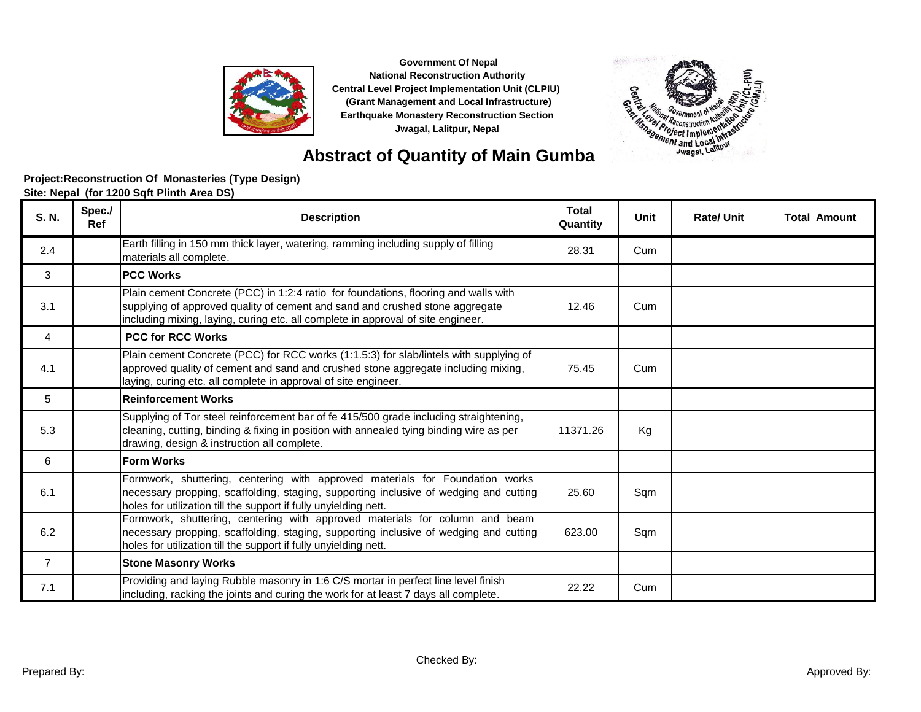



### **Project:Reconstruction Of Monasteries (Type Design) Abstract of Quantity of Main Gumba**

**Site: Nepal (for 1200 Sqft Plinth Area DS)**

| S. N.          | Spec./<br><b>Ref</b> | <b>Description</b>                                                                                                                                                                                                                                      | <b>Total</b><br>Quantity | <b>Unit</b> | <b>Rate/Unit</b> | <b>Total Amount</b> |
|----------------|----------------------|---------------------------------------------------------------------------------------------------------------------------------------------------------------------------------------------------------------------------------------------------------|--------------------------|-------------|------------------|---------------------|
| 2.4            |                      | Earth filling in 150 mm thick layer, watering, ramming including supply of filling<br>materials all complete.                                                                                                                                           | 28.31                    | Cum         |                  |                     |
| 3              |                      | <b>PCC Works</b>                                                                                                                                                                                                                                        |                          |             |                  |                     |
| 3.1            |                      | Plain cement Concrete (PCC) in 1:2:4 ratio for foundations, flooring and walls with<br>supplying of approved quality of cement and sand and crushed stone aggregate<br>including mixing, laying, curing etc. all complete in approval of site engineer. | 12.46                    | Cum         |                  |                     |
| 4              |                      | <b>PCC for RCC Works</b>                                                                                                                                                                                                                                |                          |             |                  |                     |
| 4.1            |                      | Plain cement Concrete (PCC) for RCC works (1:1.5:3) for slab/lintels with supplying of<br>approved quality of cement and sand and crushed stone aggregate including mixing,<br>laying, curing etc. all complete in approval of site engineer.           | 75.45                    | Cum         |                  |                     |
| 5              |                      | <b>Reinforcement Works</b>                                                                                                                                                                                                                              |                          |             |                  |                     |
| 5.3            |                      | Supplying of Tor steel reinforcement bar of fe 415/500 grade including straightening,<br>cleaning, cutting, binding & fixing in position with annealed tying binding wire as per<br>drawing, design & instruction all complete.                         | 11371.26                 | Kg          |                  |                     |
| 6              |                      | <b>Form Works</b>                                                                                                                                                                                                                                       |                          |             |                  |                     |
| 6.1            |                      | Formwork, shuttering, centering with approved materials for Foundation works<br>necessary propping, scaffolding, staging, supporting inclusive of wedging and cutting<br>holes for utilization till the support if fully unyielding nett.               | 25.60                    | Sqm         |                  |                     |
| 6.2            |                      | Formwork, shuttering, centering with approved materials for column and beam<br>necessary propping, scaffolding, staging, supporting inclusive of wedging and cutting<br>holes for utilization till the support if fully unyielding nett.                | 623.00                   | Sqm         |                  |                     |
| $\overline{7}$ |                      | <b>Stone Masonry Works</b>                                                                                                                                                                                                                              |                          |             |                  |                     |
| 7.1            |                      | Providing and laying Rubble masonry in 1:6 C/S mortar in perfect line level finish<br>including, racking the joints and curing the work for at least 7 days all complete.                                                                               | 22.22                    | Cum         |                  |                     |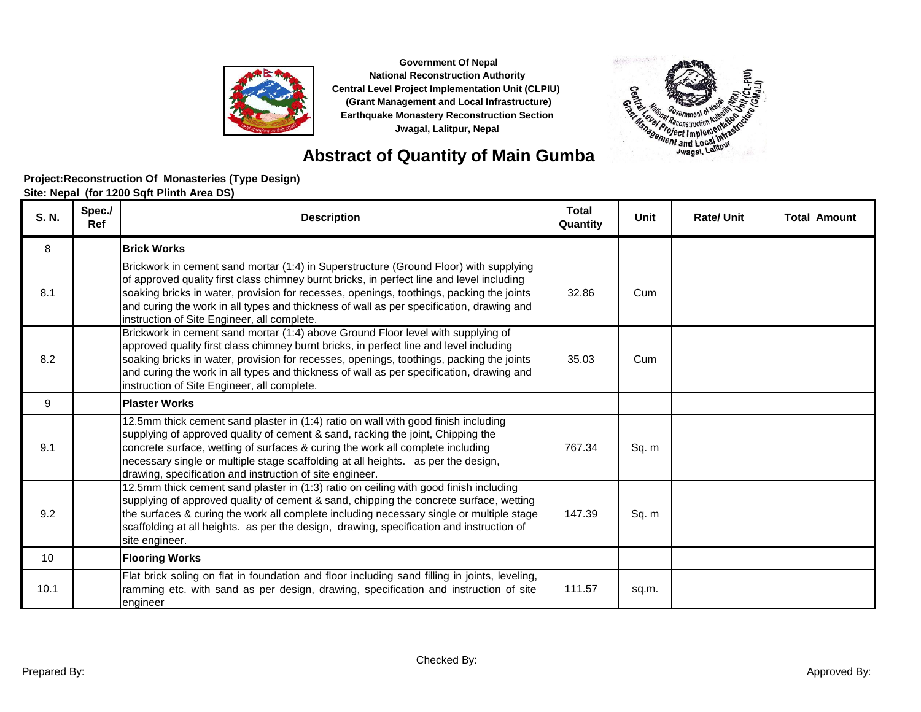

**Abstract of Quantity of Main Gumba**

# 法诉 皀 **Contract of the Second International Second International Second Property and Second International Second International Second International Second International Second International Second International Second Internatio**

| S. N. | Spec./<br>Ref | <b>Description</b>                                                                                                                                                                                                                                                                                                                                                                                                        | <b>Total</b><br>Quantity | <b>Unit</b> | <b>Rate/Unit</b> | <b>Total Amount</b> |
|-------|---------------|---------------------------------------------------------------------------------------------------------------------------------------------------------------------------------------------------------------------------------------------------------------------------------------------------------------------------------------------------------------------------------------------------------------------------|--------------------------|-------------|------------------|---------------------|
| 8     |               | <b>Brick Works</b>                                                                                                                                                                                                                                                                                                                                                                                                        |                          |             |                  |                     |
| 8.1   |               | Brickwork in cement sand mortar (1:4) in Superstructure (Ground Floor) with supplying<br>of approved quality first class chimney burnt bricks, in perfect line and level including<br>soaking bricks in water, provision for recesses, openings, toothings, packing the joints<br>and curing the work in all types and thickness of wall as per specification, drawing and<br>instruction of Site Engineer, all complete. | 32.86                    | Cum         |                  |                     |
| 8.2   |               | Brickwork in cement sand mortar (1:4) above Ground Floor level with supplying of<br>approved quality first class chimney burnt bricks, in perfect line and level including<br>soaking bricks in water, provision for recesses, openings, toothings, packing the joints<br>and curing the work in all types and thickness of wall as per specification, drawing and<br>instruction of Site Engineer, all complete.         | 35.03                    | Cum         |                  |                     |
| 9     |               | <b>Plaster Works</b>                                                                                                                                                                                                                                                                                                                                                                                                      |                          |             |                  |                     |
| 9.1   |               | 12.5mm thick cement sand plaster in (1:4) ratio on wall with good finish including<br>supplying of approved quality of cement & sand, racking the joint, Chipping the<br>concrete surface, wetting of surfaces & curing the work all complete including<br>necessary single or multiple stage scaffolding at all heights. as per the design,<br>drawing, specification and instruction of site engineer.                  | 767.34                   | Sq. m       |                  |                     |
| 9.2   |               | 12.5mm thick cement sand plaster in (1:3) ratio on ceiling with good finish including<br>supplying of approved quality of cement & sand, chipping the concrete surface, wetting<br>the surfaces & curing the work all complete including necessary single or multiple stage<br>scaffolding at all heights. as per the design, drawing, specification and instruction of<br>site engineer.                                 | 147.39                   | Sq. m       |                  |                     |
| 10    |               | <b>Flooring Works</b>                                                                                                                                                                                                                                                                                                                                                                                                     |                          |             |                  |                     |
| 10.1  |               | Flat brick soling on flat in foundation and floor including sand filling in joints, leveling,<br>ramming etc. with sand as per design, drawing, specification and instruction of site<br>engineer                                                                                                                                                                                                                         | 111.57                   | sq.m.       |                  |                     |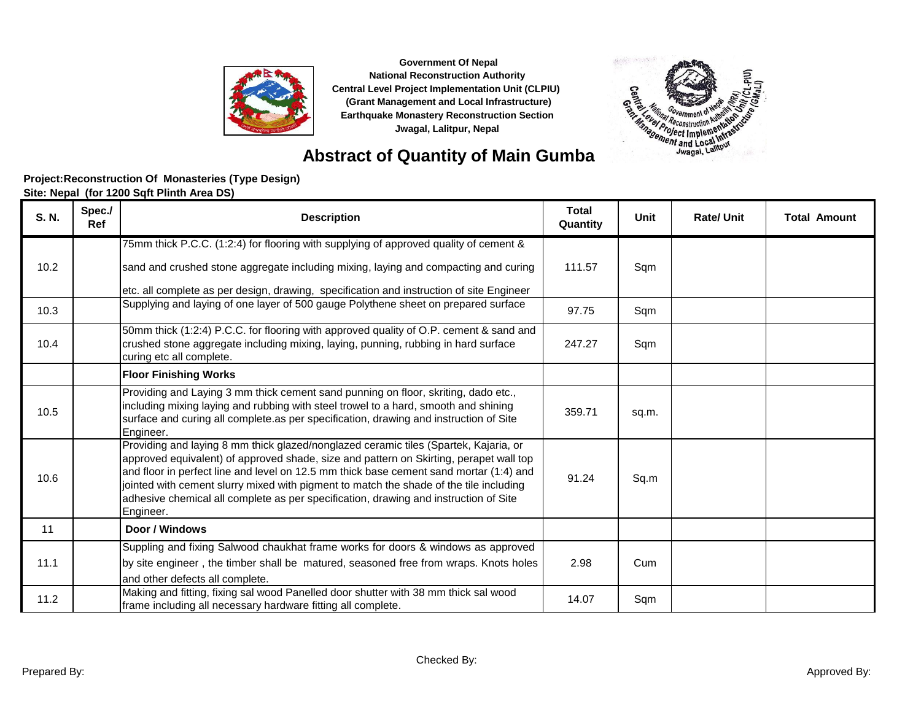

**Abstract of Quantity of Main Gumba**

# 法诉 皀 **Contract of the Second International Second International Second Property and Second International Second International Second International Second International Second International Second International Second Internatio**

| S. N. | Spec./<br><b>Ref</b> | <b>Description</b>                                                                                                                                                                                                                                                                                                                                                                                                                                                      | <b>Total</b><br>Quantity | Unit  | <b>Rate/Unit</b> | <b>Total Amount</b> |
|-------|----------------------|-------------------------------------------------------------------------------------------------------------------------------------------------------------------------------------------------------------------------------------------------------------------------------------------------------------------------------------------------------------------------------------------------------------------------------------------------------------------------|--------------------------|-------|------------------|---------------------|
|       |                      | 75mm thick P.C.C. (1:2:4) for flooring with supplying of approved quality of cement &                                                                                                                                                                                                                                                                                                                                                                                   |                          |       |                  |                     |
| 10.2  |                      | sand and crushed stone aggregate including mixing, laying and compacting and curing                                                                                                                                                                                                                                                                                                                                                                                     | 111.57                   | Sqm   |                  |                     |
|       |                      | etc. all complete as per design, drawing, specification and instruction of site Engineer                                                                                                                                                                                                                                                                                                                                                                                |                          |       |                  |                     |
| 10.3  |                      | Supplying and laying of one layer of 500 gauge Polythene sheet on prepared surface                                                                                                                                                                                                                                                                                                                                                                                      | 97.75                    | Sqm   |                  |                     |
| 10.4  |                      | 50mm thick (1:2:4) P.C.C. for flooring with approved quality of O.P. cement & sand and<br>crushed stone aggregate including mixing, laying, punning, rubbing in hard surface<br>curing etc all complete.                                                                                                                                                                                                                                                                | 247.27                   | Sqm   |                  |                     |
|       |                      | <b>Floor Finishing Works</b>                                                                                                                                                                                                                                                                                                                                                                                                                                            |                          |       |                  |                     |
| 10.5  |                      | Providing and Laying 3 mm thick cement sand punning on floor, skriting, dado etc.,<br>including mixing laying and rubbing with steel trowel to a hard, smooth and shining<br>surface and curing all complete as per specification, drawing and instruction of Site<br>Engineer.                                                                                                                                                                                         | 359.71                   | sq.m. |                  |                     |
| 10.6  |                      | Providing and laying 8 mm thick glazed/nonglazed ceramic tiles (Spartek, Kajaria, or<br>approved equivalent) of approved shade, size and pattern on Skirting, perapet wall top<br>and floor in perfect line and level on 12.5 mm thick base cement sand mortar (1:4) and<br>jointed with cement slurry mixed with pigment to match the shade of the tile including<br>adhesive chemical all complete as per specification, drawing and instruction of Site<br>Engineer. | 91.24                    | Sq.m  |                  |                     |
| 11    |                      | Door / Windows                                                                                                                                                                                                                                                                                                                                                                                                                                                          |                          |       |                  |                     |
| 11.1  |                      | Suppling and fixing Salwood chaukhat frame works for doors & windows as approved<br>by site engineer, the timber shall be matured, seasoned free from wraps. Knots holes<br>and other defects all complete.                                                                                                                                                                                                                                                             | 2.98                     | Cum   |                  |                     |
| 11.2  |                      | Making and fitting, fixing sal wood Panelled door shutter with 38 mm thick sal wood<br>frame including all necessary hardware fitting all complete.                                                                                                                                                                                                                                                                                                                     | 14.07                    | Sqm   |                  |                     |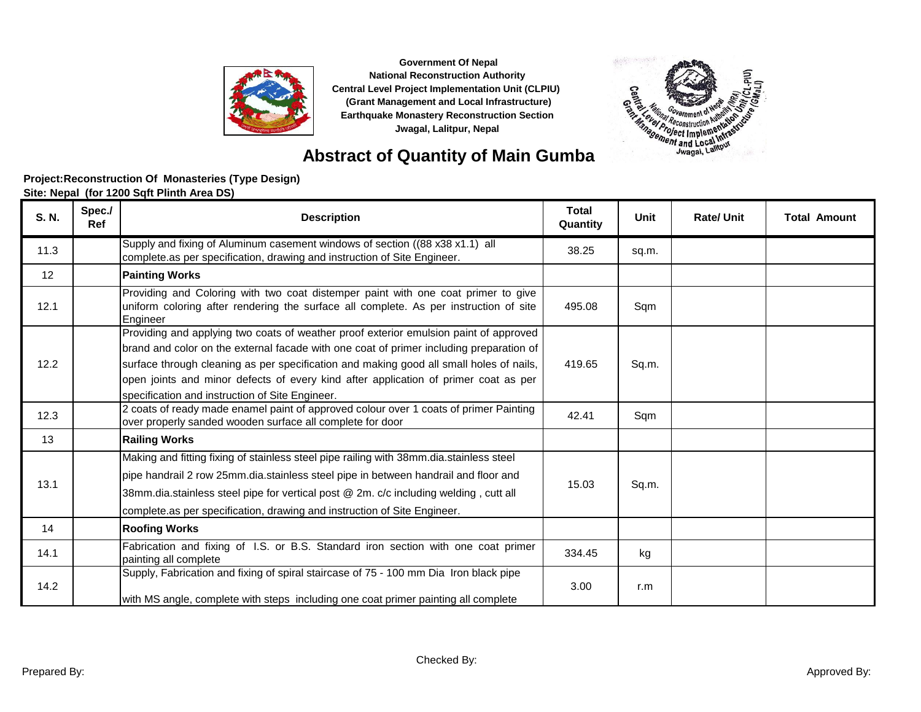



### **Abstract of Quantity of Main Gumba**

| <b>S. N.</b> | Spec./<br><b>Ref</b> | <b>Description</b>                                                                                                                                                                                                                                                                                                                                                                                                    | <b>Total</b><br>Quantity | Unit  | <b>Rate/Unit</b> | <b>Total Amount</b> |
|--------------|----------------------|-----------------------------------------------------------------------------------------------------------------------------------------------------------------------------------------------------------------------------------------------------------------------------------------------------------------------------------------------------------------------------------------------------------------------|--------------------------|-------|------------------|---------------------|
| 11.3         |                      | Supply and fixing of Aluminum casement windows of section ((88 x38 x1.1) all<br>complete as per specification, drawing and instruction of Site Engineer.                                                                                                                                                                                                                                                              | 38.25                    | sq.m. |                  |                     |
| 12           |                      | <b>Painting Works</b>                                                                                                                                                                                                                                                                                                                                                                                                 |                          |       |                  |                     |
| 12.1         |                      | Providing and Coloring with two coat distemper paint with one coat primer to give<br>uniform coloring after rendering the surface all complete. As per instruction of site<br>Engineer                                                                                                                                                                                                                                | 495.08                   | Sqm   |                  |                     |
| 12.2         |                      | Providing and applying two coats of weather proof exterior emulsion paint of approved<br>brand and color on the external facade with one coat of primer including preparation of<br>surface through cleaning as per specification and making good all small holes of nails,<br>open joints and minor defects of every kind after application of primer coat as per<br>specification and instruction of Site Engineer. | 419.65                   | Sq.m. |                  |                     |
| 12.3         |                      | 2 coats of ready made enamel paint of approved colour over 1 coats of primer Painting<br>over properly sanded wooden surface all complete for door                                                                                                                                                                                                                                                                    | 42.41                    | Sqm   |                  |                     |
| 13           |                      | <b>Railing Works</b>                                                                                                                                                                                                                                                                                                                                                                                                  |                          |       |                  |                     |
| 13.1         |                      | Making and fitting fixing of stainless steel pipe railing with 38mm.dia.stainless steel<br>pipe handrail 2 row 25mm.dia.stainless steel pipe in between handrail and floor and<br>38mm.dia.stainless steel pipe for vertical post @ 2m. c/c including welding, cutt all<br>complete.as per specification, drawing and instruction of Site Engineer.                                                                   | 15.03                    | Sq.m. |                  |                     |
| 14           |                      | <b>Roofing Works</b>                                                                                                                                                                                                                                                                                                                                                                                                  |                          |       |                  |                     |
| 14.1         |                      | Fabrication and fixing of I.S. or B.S. Standard iron section with one coat primer<br>painting all complete                                                                                                                                                                                                                                                                                                            | 334.45                   | kg    |                  |                     |
| 14.2         |                      | Supply, Fabrication and fixing of spiral staircase of 75 - 100 mm Dia Iron black pipe<br>with MS angle, complete with steps including one coat primer painting all complete                                                                                                                                                                                                                                           | 3.00                     | r.m   |                  |                     |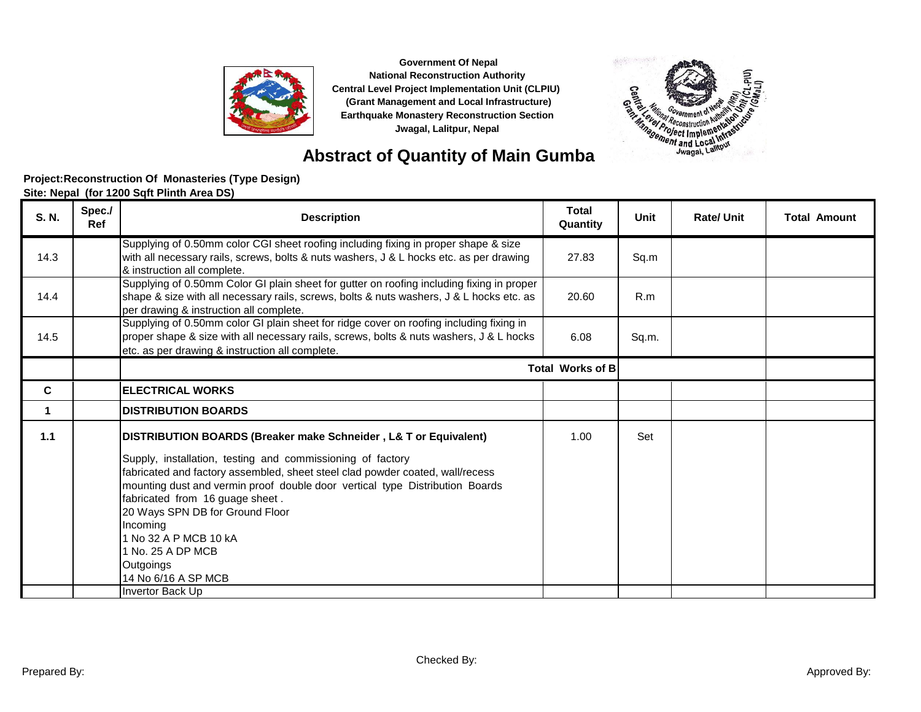



### **Abstract of Quantity of Main Gumba**

| S. N. | Spec./<br>Ref | <b>Description</b>                                                                                                                                                                                                                                                                                                                                                                                                                                                                                 | <b>Total</b><br>Quantity | <b>Unit</b> | <b>Rate/Unit</b> | <b>Total Amount</b> |
|-------|---------------|----------------------------------------------------------------------------------------------------------------------------------------------------------------------------------------------------------------------------------------------------------------------------------------------------------------------------------------------------------------------------------------------------------------------------------------------------------------------------------------------------|--------------------------|-------------|------------------|---------------------|
| 14.3  |               | Supplying of 0.50mm color CGI sheet roofing including fixing in proper shape & size<br>with all necessary rails, screws, bolts & nuts washers, J & L hocks etc. as per drawing<br>& instruction all complete.                                                                                                                                                                                                                                                                                      | 27.83                    | Sq.m        |                  |                     |
| 14.4  |               | Supplying of 0.50mm Color GI plain sheet for gutter on roofing including fixing in proper<br>shape & size with all necessary rails, screws, bolts & nuts washers, J & L hocks etc. as<br>per drawing & instruction all complete.                                                                                                                                                                                                                                                                   | 20.60                    | R.m         |                  |                     |
| 14.5  |               | Supplying of 0.50mm color GI plain sheet for ridge cover on roofing including fixing in<br>proper shape & size with all necessary rails, screws, bolts & nuts washers, J & L hocks<br>etc. as per drawing & instruction all complete.                                                                                                                                                                                                                                                              | 6.08                     | Sq.m.       |                  |                     |
|       |               |                                                                                                                                                                                                                                                                                                                                                                                                                                                                                                    | <b>Total Works of B</b>  |             |                  |                     |
| C     |               | <b>ELECTRICAL WORKS</b>                                                                                                                                                                                                                                                                                                                                                                                                                                                                            |                          |             |                  |                     |
|       |               | <b>DISTRIBUTION BOARDS</b>                                                                                                                                                                                                                                                                                                                                                                                                                                                                         |                          |             |                  |                     |
| 1.1   |               | <b>DISTRIBUTION BOARDS (Breaker make Schneider, L&amp; T or Equivalent)</b><br>Supply, installation, testing and commissioning of factory<br>fabricated and factory assembled, sheet steel clad powder coated, wall/recess<br>mounting dust and vermin proof double door vertical type Distribution Boards<br>fabricated from 16 guage sheet.<br>20 Ways SPN DB for Ground Floor<br>Incoming<br>1 No 32 A P MCB 10 kA<br>1 No. 25 A DP MCB<br>Outgoings<br>14 No 6/16 A SP MCB<br>Invertor Back Up | 1.00                     | Set         |                  |                     |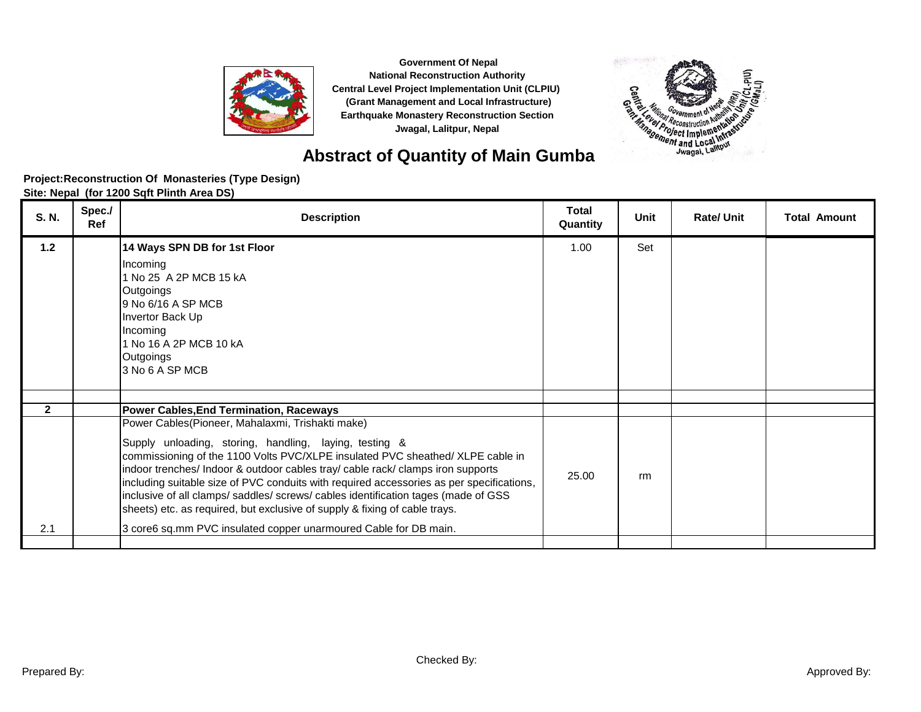

**Abstract of Quantity of Main Gumba**

# 法诉 **Eig Contract of the Second International Second International Second Property and Second International Second International Second International Second International Second International Second International Second Internatio**

| S. N.                 | Spec./<br>Ref | <b>Description</b>                                                                                                                                                                                                                                                                                                                                                                                                                                                                                                                                                                                                                                             | <b>Total</b><br>Quantity | Unit | <b>Rate/Unit</b> | <b>Total Amount</b> |
|-----------------------|---------------|----------------------------------------------------------------------------------------------------------------------------------------------------------------------------------------------------------------------------------------------------------------------------------------------------------------------------------------------------------------------------------------------------------------------------------------------------------------------------------------------------------------------------------------------------------------------------------------------------------------------------------------------------------------|--------------------------|------|------------------|---------------------|
| $1.2$                 |               | 14 Ways SPN DB for 1st Floor<br>Incoming<br>1 No 25 A 2P MCB 15 kA<br>Outgoings<br>9 No 6/16 A SP MCB<br>Invertor Back Up<br>Incoming<br>1 No 16 A 2P MCB 10 kA<br>Outgoings<br>3 No 6 A SP MCB                                                                                                                                                                                                                                                                                                                                                                                                                                                                | 1.00                     | Set  |                  |                     |
|                       |               |                                                                                                                                                                                                                                                                                                                                                                                                                                                                                                                                                                                                                                                                |                          |      |                  |                     |
| $\overline{2}$<br>2.1 |               | Power Cables, End Termination, Raceways<br>Power Cables(Pioneer, Mahalaxmi, Trishakti make)<br>Supply unloading, storing, handling, laying, testing &<br>commissioning of the 1100 Volts PVC/XLPE insulated PVC sheathed/ XLPE cable in<br>indoor trenches/ Indoor & outdoor cables tray/ cable rack/ clamps iron supports<br>including suitable size of PVC conduits with required accessories as per specifications,<br>inclusive of all clamps/ saddles/ screws/ cables identification tages (made of GSS<br>sheets) etc. as required, but exclusive of supply & fixing of cable trays.<br>3 core6 sq.mm PVC insulated copper unarmoured Cable for DB main. | 25.00                    | rm   |                  |                     |
|                       |               |                                                                                                                                                                                                                                                                                                                                                                                                                                                                                                                                                                                                                                                                |                          |      |                  |                     |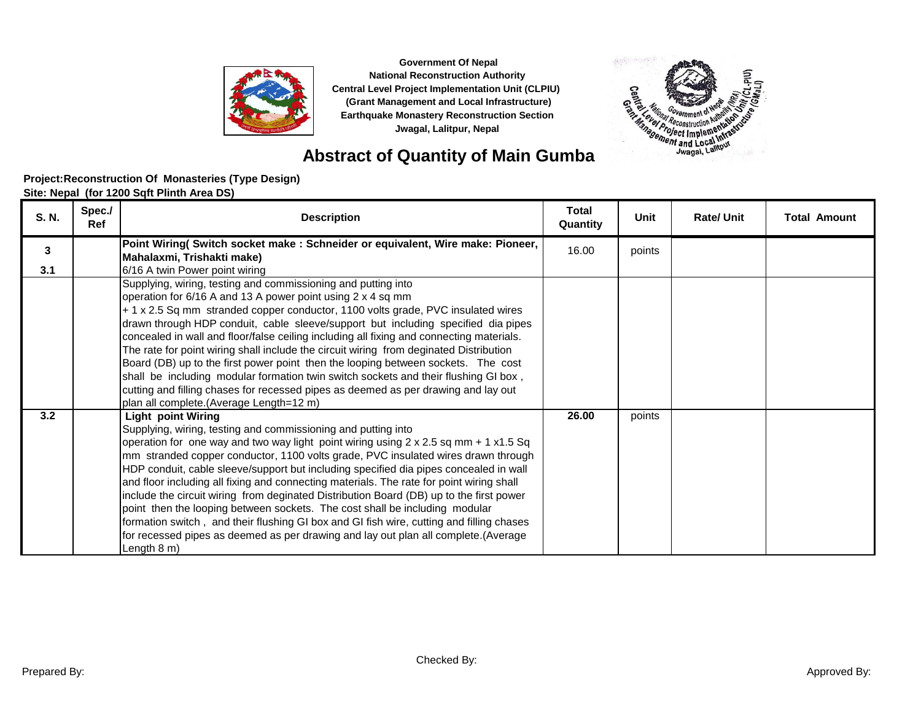



法诉

**Eig** 

| S. N. | Spec./<br>Ref | <b>Description</b>                                                                                                                                                                                                                                                                                                                                                                                                                                                                                                                                                                                                                                                                                                                                                                                                                             | <b>Total</b><br>Quantity | Unit   | <b>Rate/Unit</b> | <b>Total Amount</b> |
|-------|---------------|------------------------------------------------------------------------------------------------------------------------------------------------------------------------------------------------------------------------------------------------------------------------------------------------------------------------------------------------------------------------------------------------------------------------------------------------------------------------------------------------------------------------------------------------------------------------------------------------------------------------------------------------------------------------------------------------------------------------------------------------------------------------------------------------------------------------------------------------|--------------------------|--------|------------------|---------------------|
| 3     |               | Point Wiring( Switch socket make : Schneider or equivalent, Wire make: Pioneer,<br>Mahalaxmi, Trishakti make)                                                                                                                                                                                                                                                                                                                                                                                                                                                                                                                                                                                                                                                                                                                                  | 16.00                    | points |                  |                     |
| 3.1   |               | 6/16 A twin Power point wiring<br>Supplying, wiring, testing and commissioning and putting into<br>operation for 6/16 A and 13 A power point using 2 x 4 sq mm<br>+ 1 x 2.5 Sq mm stranded copper conductor, 1100 volts grade, PVC insulated wires<br>drawn through HDP conduit, cable sleeve/support but including specified dia pipes<br>concealed in wall and floor/false ceiling including all fixing and connecting materials.<br>The rate for point wiring shall include the circuit wiring from deginated Distribution<br>Board (DB) up to the first power point then the looping between sockets. The cost<br>shall be including modular formation twin switch sockets and their flushing GI box,<br>cutting and filling chases for recessed pipes as deemed as per drawing and lay out<br>plan all complete.(Average Length=12 m)     |                          |        |                  |                     |
| 3.2   |               | <b>Light point Wiring</b><br>Supplying, wiring, testing and commissioning and putting into<br>operation for one way and two way light point wiring using $2 \times 2.5$ sq mm + 1 x1.5 Sq<br>mm stranded copper conductor, 1100 volts grade, PVC insulated wires drawn through<br>HDP conduit, cable sleeve/support but including specified dia pipes concealed in wall<br>and floor including all fixing and connecting materials. The rate for point wiring shall<br>include the circuit wiring from deginated Distribution Board (DB) up to the first power<br>point then the looping between sockets. The cost shall be including modular<br>formation switch, and their flushing GI box and GI fish wire, cutting and filling chases<br>for recessed pipes as deemed as per drawing and lay out plan all complete.(Average<br>Length 8 m) | 26.00                    | points |                  |                     |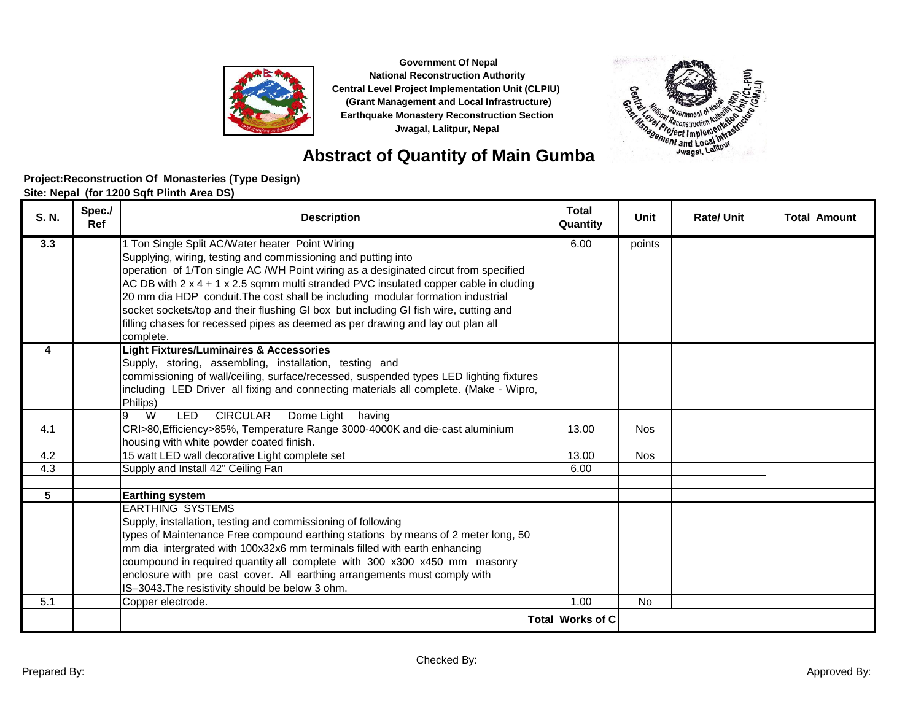

**Abstract of Quantity of Main Gumba**

# 法诉 ξ **Contract of the Second International Second International Second Property and Second International Second International Second International Second International Second International Second International Second Internatio**

| S. N. | Spec./<br>Ref | <b>Description</b>                                                                                                                                     | <b>Total</b><br>Quantity | Unit       | <b>Rate/Unit</b> | <b>Total Amount</b> |
|-------|---------------|--------------------------------------------------------------------------------------------------------------------------------------------------------|--------------------------|------------|------------------|---------------------|
| 3.3   |               | 1 Ton Single Split AC/Water heater Point Wiring                                                                                                        | 6.00                     | points     |                  |                     |
|       |               | Supplying, wiring, testing and commissioning and putting into<br>operation of 1/Ton single AC /WH Point wiring as a desiginated circut from specified  |                          |            |                  |                     |
|       |               | AC DB with 2 x 4 + 1 x 2.5 sqmm multi stranded PVC insulated copper cable in cluding                                                                   |                          |            |                  |                     |
|       |               | 20 mm dia HDP conduit. The cost shall be including modular formation industrial                                                                        |                          |            |                  |                     |
|       |               | socket sockets/top and their flushing GI box but including GI fish wire, cutting and                                                                   |                          |            |                  |                     |
|       |               | filling chases for recessed pipes as deemed as per drawing and lay out plan all                                                                        |                          |            |                  |                     |
|       |               | complete.                                                                                                                                              |                          |            |                  |                     |
| 4     |               | <b>Light Fixtures/Luminaires &amp; Accessories</b><br>Supply, storing, assembling, installation, testing and                                           |                          |            |                  |                     |
|       |               | commissioning of wall/ceiling, surface/recessed, suspended types LED lighting fixtures                                                                 |                          |            |                  |                     |
|       |               | including LED Driver all fixing and connecting materials all complete. (Make - Wipro,                                                                  |                          |            |                  |                     |
|       |               | Philips)                                                                                                                                               |                          |            |                  |                     |
|       |               | W<br><b>CIRCULAR</b><br>Dome Light having<br>LED                                                                                                       |                          |            |                  |                     |
| 4.1   |               | CRI>80, Efficiency>85%, Temperature Range 3000-4000K and die-cast aluminium                                                                            | 13.00                    | <b>Nos</b> |                  |                     |
| 4.2   |               | housing with white powder coated finish.<br>15 watt LED wall decorative Light complete set                                                             | 13.00                    | <b>Nos</b> |                  |                     |
| 4.3   |               | Supply and Install 42" Ceiling Fan                                                                                                                     | 6.00                     |            |                  |                     |
|       |               |                                                                                                                                                        |                          |            |                  |                     |
| 5     |               | <b>Earthing system</b>                                                                                                                                 |                          |            |                  |                     |
|       |               | <b>EARTHING SYSTEMS</b>                                                                                                                                |                          |            |                  |                     |
|       |               | Supply, installation, testing and commissioning of following                                                                                           |                          |            |                  |                     |
|       |               | types of Maintenance Free compound earthing stations by means of 2 meter long, 50                                                                      |                          |            |                  |                     |
|       |               | mm dia intergrated with 100x32x6 mm terminals filled with earth enhancing<br>coumpound in required quantity all complete with 300 x300 x450 mm masonry |                          |            |                  |                     |
|       |               | enclosure with pre cast cover. All earthing arrangements must comply with                                                                              |                          |            |                  |                     |
|       |               | IS-3043. The resistivity should be below 3 ohm.                                                                                                        |                          |            |                  |                     |
| 5.1   |               | Copper electrode.                                                                                                                                      | 1.00                     | No         |                  |                     |
|       |               |                                                                                                                                                        | <b>Total Works of C</b>  |            |                  |                     |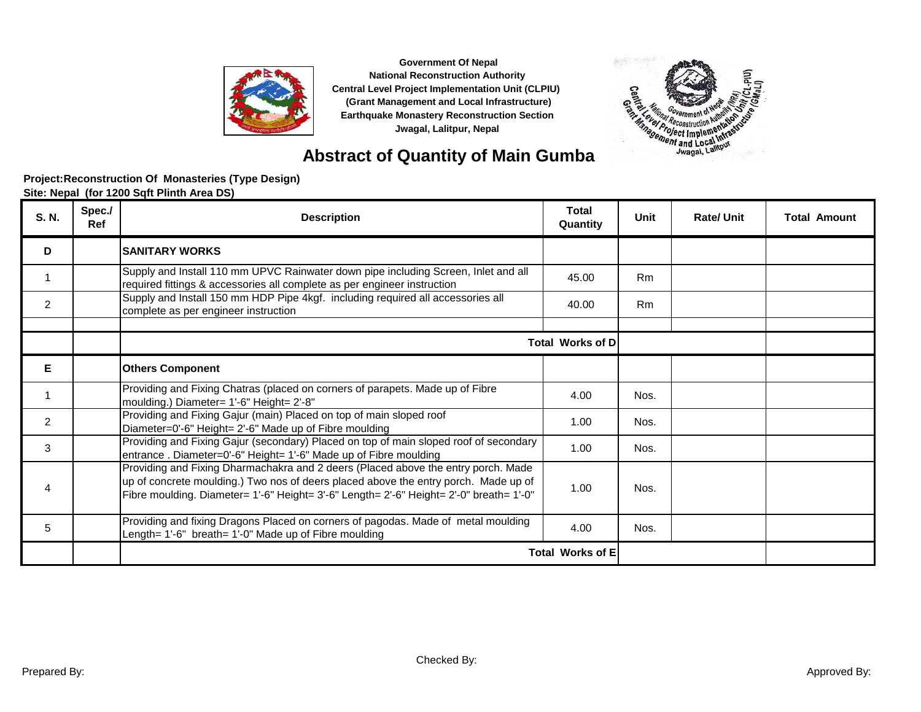



### **Abstract of Quantity of Main Gumba**

| S. N.          | Spec./<br><b>Ref</b> | <b>Description</b>                                                                                                                                                                                                                                                  | <b>Total</b><br>Quantity | Unit           | <b>Rate/Unit</b> | <b>Total Amount</b> |
|----------------|----------------------|---------------------------------------------------------------------------------------------------------------------------------------------------------------------------------------------------------------------------------------------------------------------|--------------------------|----------------|------------------|---------------------|
| D              |                      | <b>SANITARY WORKS</b>                                                                                                                                                                                                                                               |                          |                |                  |                     |
|                |                      | Supply and Install 110 mm UPVC Rainwater down pipe including Screen, Inlet and all<br>required fittings & accessories all complete as per engineer instruction                                                                                                      | 45.00                    | Rm             |                  |                     |
| $\overline{2}$ |                      | Supply and Install 150 mm HDP Pipe 4kgf. including required all accessories all<br>complete as per engineer instruction                                                                                                                                             | 40.00                    | R <sub>m</sub> |                  |                     |
|                |                      |                                                                                                                                                                                                                                                                     | <b>Total Works of DI</b> |                |                  |                     |
| Е              |                      | <b>Others Component</b>                                                                                                                                                                                                                                             |                          |                |                  |                     |
|                |                      | Providing and Fixing Chatras (placed on corners of parapets. Made up of Fibre<br>moulding.) Diameter= 1'-6" Height= 2'-8"                                                                                                                                           | 4.00                     | Nos.           |                  |                     |
| $\overline{2}$ |                      | Providing and Fixing Gajur (main) Placed on top of main sloped roof<br>Diameter=0'-6" Height= 2'-6" Made up of Fibre moulding                                                                                                                                       | 1.00                     | Nos.           |                  |                     |
| 3              |                      | Providing and Fixing Gajur (secondary) Placed on top of main sloped roof of secondary<br>entrance. Diameter=0'-6" Height= 1'-6" Made up of Fibre moulding                                                                                                           | 1.00                     | Nos.           |                  |                     |
| 4              |                      | Providing and Fixing Dharmachakra and 2 deers (Placed above the entry porch. Made<br>up of concrete moulding.) Two nos of deers placed above the entry porch. Made up of<br>Fibre moulding. Diameter= 1'-6" Height= 3'-6" Length= 2'-6" Height= 2'-0" breath= 1'-0" | 1.00                     | Nos.           |                  |                     |
| 5              |                      | Providing and fixing Dragons Placed on corners of pagodas. Made of metal moulding<br>Length= 1'-6" breath= 1'-0" Made up of Fibre moulding                                                                                                                          | 4.00                     | Nos.           |                  |                     |
|                |                      |                                                                                                                                                                                                                                                                     | <b>Total Works of E</b>  |                |                  |                     |